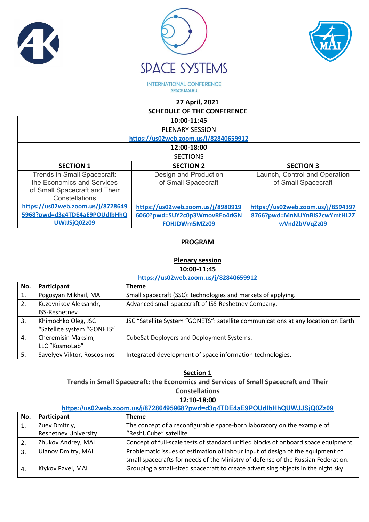





**INTERNATIONAL CONFERENCE** SPACE.MAI.RU

**27 April, 2021** 

**SCHEDULE OF THE CONFERENCE**

| 10:00-11:45                           |                                   |                                   |
|---------------------------------------|-----------------------------------|-----------------------------------|
| <b>PLENARY SESSION</b>                |                                   |                                   |
| https://us02web.zoom.us/j/82840659912 |                                   |                                   |
| 12:00-18:00                           |                                   |                                   |
| <b>SECTIONS</b>                       |                                   |                                   |
| <b>SECTION 1</b>                      | <b>SECTION 2</b>                  | <b>SECTION 3</b>                  |
| Trends in Small Spacecraft:           | Design and Production             | Launch, Control and Operation     |
| the Economics and Services            | of Small Spacecraft               | of Small Spacecraft               |
| of Small Spacecraft and Their         |                                   |                                   |
| Constellations                        |                                   |                                   |
| https://us02web.zoom.us/j/8728649     | https://us02web.zoom.us/j/8980919 | https://us02web.zoom.us/j/8594397 |
| 5968?pwd=d3g4TDE4aE9POUdIbHhQ         | 6060?pwd=SUY2c0p3WmovREo4dGN      | 8766?pwd=MnNUYnBlS2cwYmtHL2Z      |
| UWJJSjQ0Zz09                          | FOHJDWm5MZz09                     | wVndZbVVqZz09                     |

## **PROGRAM**

### **Plenary session 10:00-11:45**

**<https://us02web.zoom.us/j/82840659912>**

| Participant                | <b>Theme</b>                                                                       |
|----------------------------|------------------------------------------------------------------------------------|
| Pogosyan Mikhail, MAI      | Small spacecraft (SSC): technologies and markets of applying.                      |
| Kuzovnikov Aleksandr,      | Advanced small spacecraft of ISS-Reshetnev Company.                                |
| <b>ISS-Reshetney</b>       |                                                                                    |
| Khimochko Oleg, JSC        | JSC "Satellite System "GONETS": satellite communications at any location on Earth. |
| "Satellite system "GONETS" |                                                                                    |
| Cheremisin Maksim,         | CubeSat Deployers and Deployment Systems.                                          |
| LLC "KosmoLab"             |                                                                                    |
| Savelyev Viktor, Roscosmos | Integrated development of space information technologies.                          |
|                            |                                                                                    |

**Section 1 Trends in Small Spacecraft: the Economics and Services of Small Spacecraft and Their Constellations**

**12:10-18:00**

### **<https://us02web.zoom.us/j/87286495968?pwd=d3g4TDE4aE9POUdIbHhQUWJJSjQ0Zz09>**

| No.              | Participant                 | <b>Theme</b>                                                                       |
|------------------|-----------------------------|------------------------------------------------------------------------------------|
|                  | Zuev Dmitriy,               | The concept of a reconfigurable space-born laboratory on the example of            |
|                  | <b>Reshetnev University</b> | "ReshUCube" satellite.                                                             |
|                  | Zhukov Andrey, MAI          | Concept of full-scale tests of standard unified blocks of onboard space equipment. |
| $\overline{3}$ . | <b>Ulanov Dmitry, MAI</b>   | Problematic issues of estimation of labour input of design of the equipment of     |
|                  |                             | small spacecrafts for needs of the Ministry of defense of the Russian Federation.  |
|                  | Klykov Pavel, MAI           | Grouping a small-sized spacecraft to create advertising objects in the night sky.  |